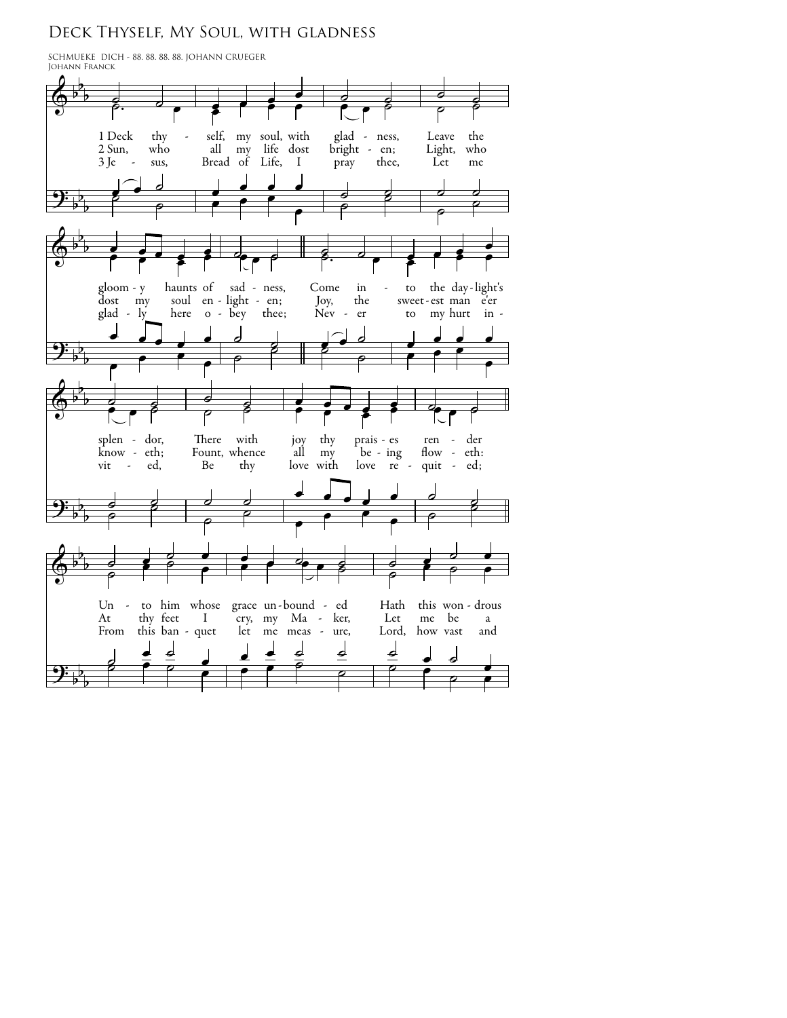## DECK THYSELF, MY SOUL, WITH GLADNESS

SCHMUEKE DICH - 88. 88. 88. 88. JOHANN CRUEGER<br>JOHANN FRANCK